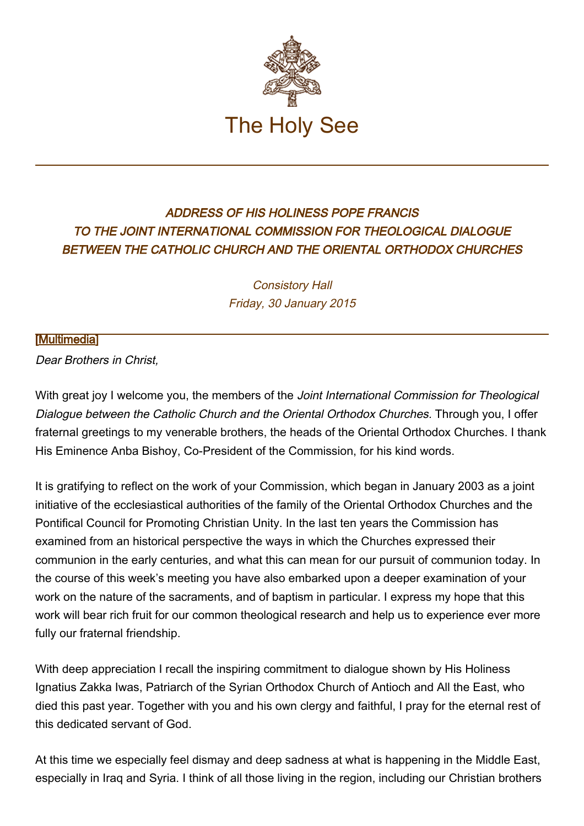

## ADDRESS OF HIS HOLINESS POPE FRANCIS TO THE JOINT INTERNATIONAL COMMISSION FOR THEOLOGICAL DIALOGUE BETWEEN THE CATHOLIC CHURCH AND THE ORIENTAL ORTHODOX CHURCHES

Consistory Hall Friday, 30 January 2015

## [\[Multimedia](http://w2.vatican.va/content/francesco/en/events/event.dir.html/content/vaticanevents/en/2015/1/30/chieseorientali.html)]

Dear Brothers in Christ,

With great joy I welcome you, the members of the Joint International Commission for Theological Dialogue between the Catholic Church and the Oriental Orthodox Churches. Through you, I offer fraternal greetings to my venerable brothers, the heads of the Oriental Orthodox Churches. I thank His Eminence Anba Bishoy, Co-President of the Commission, for his kind words.

It is gratifying to reflect on the work of your Commission, which began in January 2003 as a joint initiative of the ecclesiastical authorities of the family of the Oriental Orthodox Churches and the Pontifical Council for Promoting Christian Unity. In the last ten years the Commission has examined from an historical perspective the ways in which the Churches expressed their communion in the early centuries, and what this can mean for our pursuit of communion today. In the course of this week's meeting you have also embarked upon a deeper examination of your work on the nature of the sacraments, and of baptism in particular. I express my hope that this work will bear rich fruit for our common theological research and help us to experience ever more fully our fraternal friendship.

With deep appreciation I recall the inspiring commitment to dialogue shown by His Holiness Ignatius Zakka Iwas, Patriarch of the Syrian Orthodox Church of Antioch and All the East, who died this past year. Together with you and his own clergy and faithful, I pray for the eternal rest of this dedicated servant of God.

At this time we especially feel dismay and deep sadness at what is happening in the Middle East, especially in Iraq and Syria. I think of all those living in the region, including our Christian brothers